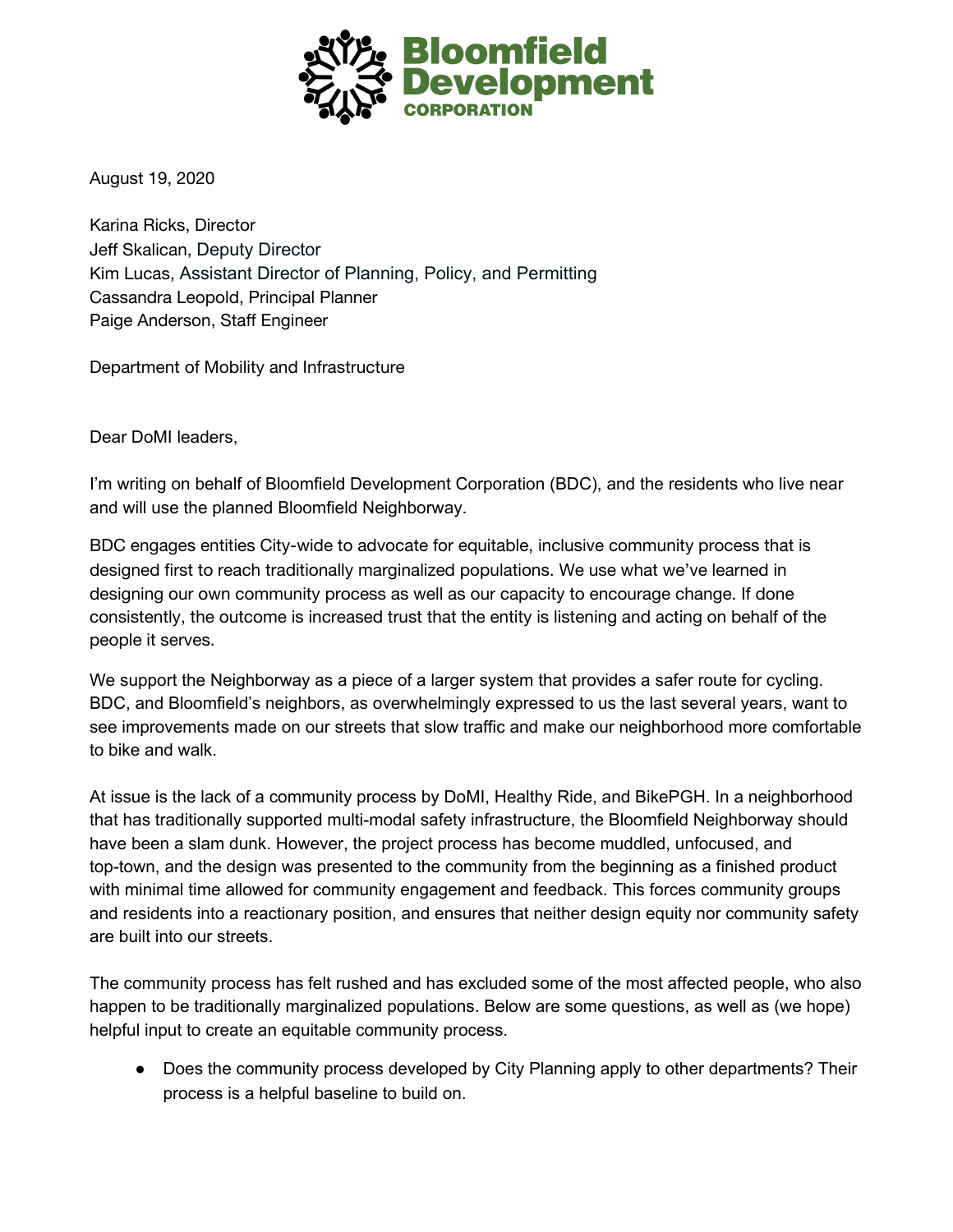

August 19, 2020

Karina Ricks, Director Jeff Skalican, Deputy Director Kim Lucas, Assistant Director of Planning, Policy, and Permitting Cassandra Leopold, Principal Planner Paige Anderson, Staff Engineer

Department of Mobility and Infrastructure

Dear DoMI leaders,

I'm writing on behalf of Bloomfield Development Corporation (BDC), and the residents who live near and will use the planned Bloomfield Neighborway.

BDC engages entities City-wide to advocate for equitable, inclusive community process that is designed first to reach traditionally marginalized populations. We use what we've learned in designing our own community process as well as our capacity to encourage change. If done consistently, the outcome is increased trust that the entity is listening and acting on behalf of the people it serves.

We support the Neighborway as a piece of a larger system that provides a safer route for cycling. BDC, and Bloomfield's neighbors, as overwhelmingly expressed to us the last several years, want to see improvements made on our streets that slow traffic and make our neighborhood more comfortable to bike and walk.

At issue is the lack of a community process by DoMI, Healthy Ride, and BikePGH. In a neighborhood that has traditionally supported multi-modal safety infrastructure, the Bloomfield Neighborway should have been a slam dunk. However, the project process has become muddled, unfocused, and top-town, and the design was presented to the community from the beginning as a finished product with minimal time allowed for community engagement and feedback. This forces community groups and residents into a reactionary position, and ensures that neither design equity nor community safety are built into our streets.

The community process has felt rushed and has excluded some of the most affected people, who also happen to be traditionally marginalized populations. Below are some questions, as well as (we hope) helpful input to create an equitable community process.

● Does the community process developed by City Planning apply to other departments? Their process is a helpful baseline to build on.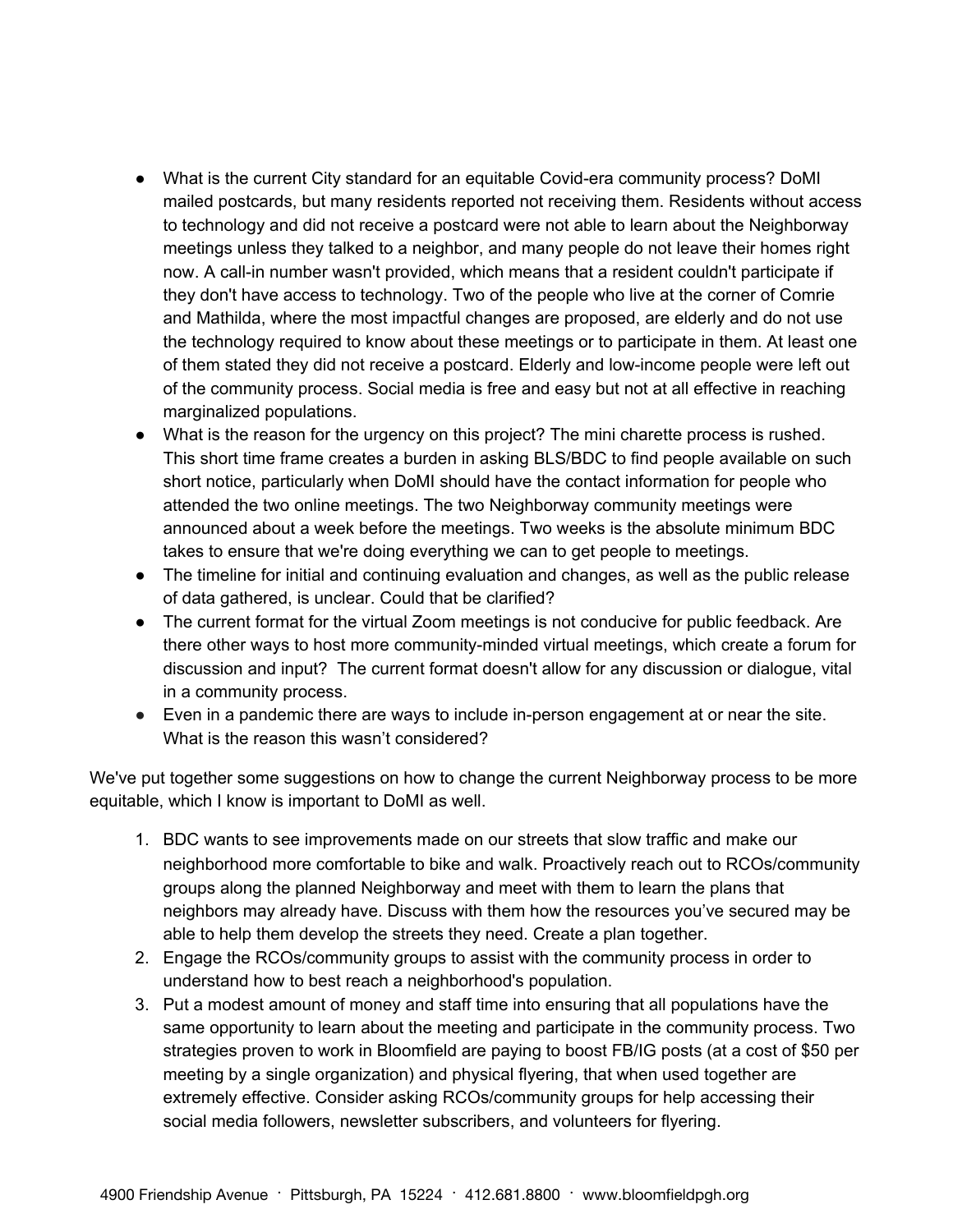- What is the current City standard for an equitable Covid-era community process? DoMI mailed postcards, but many residents reported not receiving them. Residents without access to technology and did not receive a postcard were not able to learn about the Neighborway meetings unless they talked to a neighbor, and many people do not leave their homes right now. A call-in number wasn't provided, which means that a resident couldn't participate if they don't have access to technology. Two of the people who live at the corner of Comrie and Mathilda, where the most impactful changes are proposed, are elderly and do not use the technology required to know about these meetings or to participate in them. At least one of them stated they did not receive a postcard. Elderly and low-income people were left out of the community process. Social media is free and easy but not at all effective in reaching marginalized populations.
- What is the reason for the urgency on this project? The mini charette process is rushed. This short time frame creates a burden in asking BLS/BDC to find people available on such short notice, particularly when DoMI should have the contact information for people who attended the two online meetings. The two Neighborway community meetings were announced about a week before the meetings. Two weeks is the absolute minimum BDC takes to ensure that we're doing everything we can to get people to meetings.
- The timeline for initial and continuing evaluation and changes, as well as the public release of data gathered, is unclear. Could that be clarified?
- The current format for the virtual Zoom meetings is not conducive for public feedback. Are there other ways to host more community-minded virtual meetings, which create a forum for discussion and input? The current format doesn't allow for any discussion or dialogue, vital in a community process.
- Even in a pandemic there are ways to include in-person engagement at or near the site. What is the reason this wasn't considered?

We've put together some suggestions on how to change the current Neighborway process to be more equitable, which I know is important to DoMI as well.

- 1. BDC wants to see improvements made on our streets that slow traffic and make our neighborhood more comfortable to bike and walk. Proactively reach out to RCOs/community groups along the planned Neighborway and meet with them to learn the plans that neighbors may already have. Discuss with them how the resources you've secured may be able to help them develop the streets they need. Create a plan together.
- 2. Engage the RCOs/community groups to assist with the community process in order to understand how to best reach a neighborhood's population.
- 3. Put a modest amount of money and staff time into ensuring that all populations have the same opportunity to learn about the meeting and participate in the community process. Two strategies proven to work in Bloomfield are paying to boost FB/IG posts (at a cost of \$50 per meeting by a single organization) and physical flyering, that when used together are extremely effective. Consider asking RCOs/community groups for help accessing their social media followers, newsletter subscribers, and volunteers for flyering.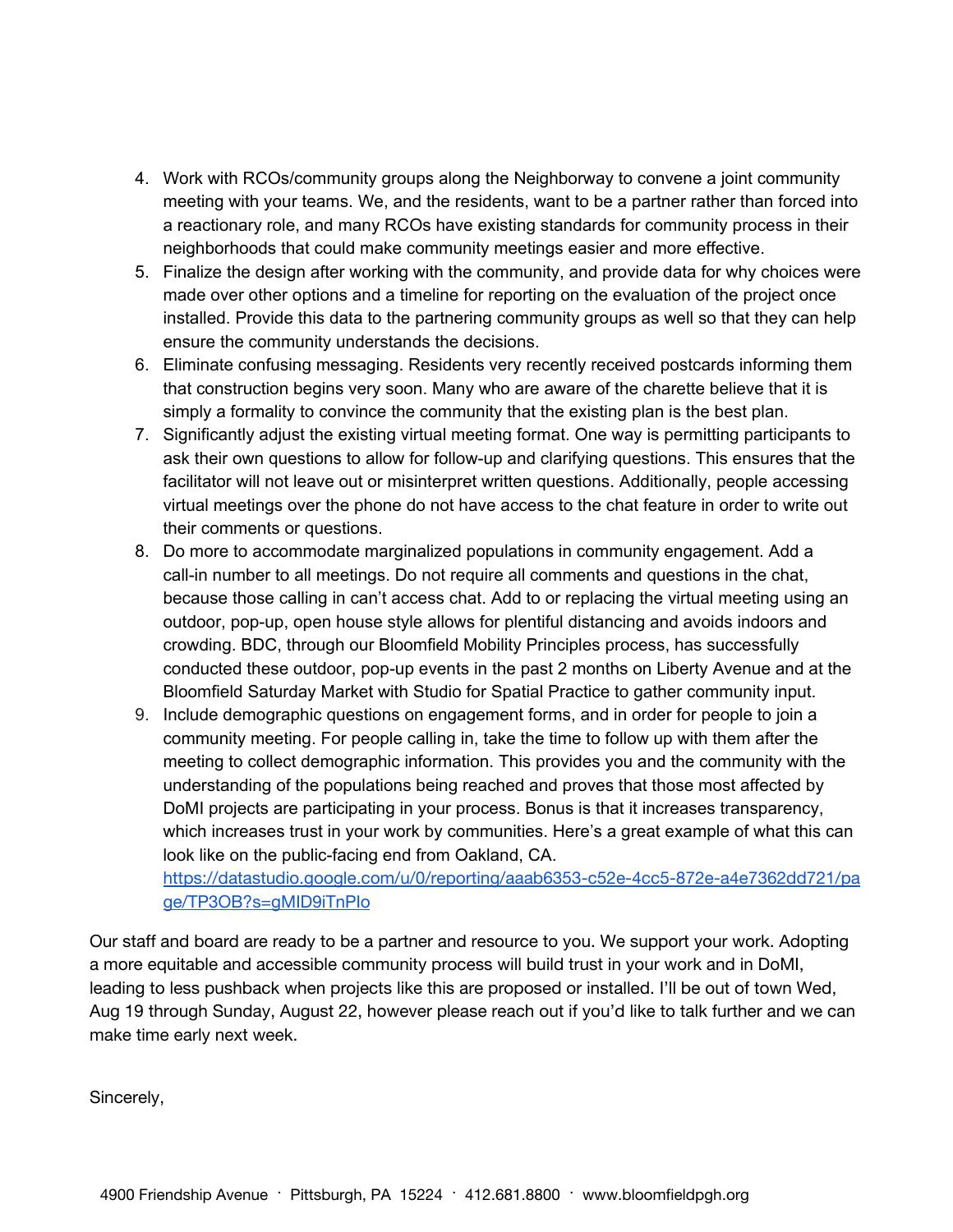- 4. Work with RCOs/community groups along the Neighborway to convene a joint community meeting with your teams. We, and the residents, want to be a partner rather than forced into a reactionary role, and many RCOs have existing standards for community process in their neighborhoods that could make community meetings easier and more effective.
- 5. Finalize the design after working with the community, and provide data for why choices were made over other options and a timeline for reporting on the evaluation of the project once installed. Provide this data to the partnering community groups as well so that they can help ensure the community understands the decisions.
- 6. Eliminate confusing messaging. Residents very recently received postcards informing them that construction begins very soon. Many who are aware of the charette believe that it is simply a formality to convince the community that the existing plan is the best plan.
- 7. Significantly adjust the existing virtual meeting format. One way is permitting participants to ask their own questions to allow for follow-up and clarifying questions. This ensures that the facilitator will not leave out or misinterpret written questions. Additionally, people accessing virtual meetings over the phone do not have access to the chat feature in order to write out their comments or questions.
- 8. Do more to accommodate marginalized populations in community engagement. Add a call-in number to all meetings. Do not require all comments and questions in the chat, because those calling in can't access chat. Add to or replacing the virtual meeting using an outdoor, pop-up, open house style allows for plentiful distancing and avoids indoors and crowding. BDC, through our Bloomfield Mobility Principles process, has successfully conducted these outdoor, pop-up events in the past 2 months on Liberty Avenue and at the Bloomfield Saturday Market with Studio for Spatial Practice to gather community input.
- 9. Include demographic questions on engagement forms, and in order for people to join a community meeting. For people calling in, take the time to follow up with them after the meeting to collect demographic information. This provides you and the community with the understanding of the populations being reached and proves that those most affected by DoMI projects are participating in your process. Bonus is that it increases transparency, which increases trust in your work by communities. Here's a great example of what this can look like on the public-facing end from Oakland, CA.

[https://datastudio.google.com/u/0/reporting/aaab6353-c52e-4cc5-872e-a4e7362dd721/pa](https://datastudio.google.com/u/0/reporting/aaab6353-c52e-4cc5-872e-a4e7362dd721/page/TP3OB?s=gMID9iTnPIo) [ge/TP3OB?s=gMID9iTnPIo](https://datastudio.google.com/u/0/reporting/aaab6353-c52e-4cc5-872e-a4e7362dd721/page/TP3OB?s=gMID9iTnPIo)

Our staff and board are ready to be a partner and resource to you. We support your work. Adopting a more equitable and accessible community process will build trust in your work and in DoMI, leading to less pushback when projects like this are proposed or installed. I'll be out of town Wed, Aug 19 through Sunday, August 22, however please reach out if you'd like to talk further and we can make time early next week.

Sincerely,